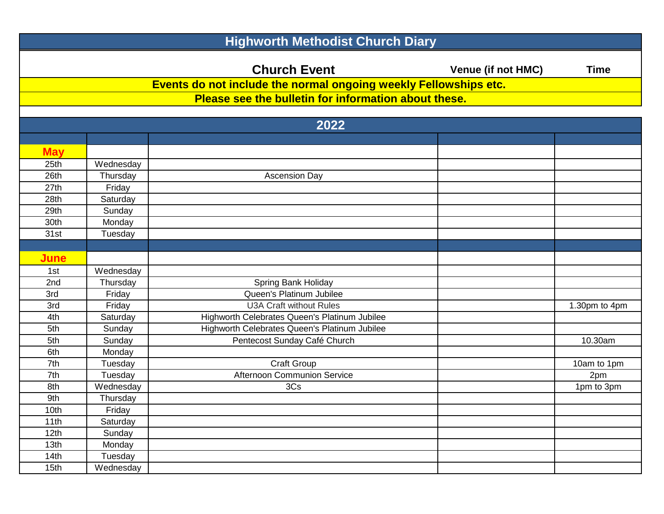| <b>Highworth Methodist Church Diary</b> |           |                                                                  |                           |               |
|-----------------------------------------|-----------|------------------------------------------------------------------|---------------------------|---------------|
|                                         |           | <b>Church Event</b>                                              | <b>Venue (if not HMC)</b> | <b>Time</b>   |
|                                         |           | Events do not include the normal ongoing weekly Fellowships etc. |                           |               |
|                                         |           | Please see the bulletin for information about these.             |                           |               |
|                                         |           |                                                                  |                           |               |
|                                         |           | 2022                                                             |                           |               |
|                                         |           |                                                                  |                           |               |
| <b>May</b>                              |           |                                                                  |                           |               |
| 25th                                    | Wednesday |                                                                  |                           |               |
| 26th                                    | Thursday  | <b>Ascension Day</b>                                             |                           |               |
| 27th                                    | Friday    |                                                                  |                           |               |
| 28th                                    | Saturday  |                                                                  |                           |               |
| 29th                                    | Sunday    |                                                                  |                           |               |
| 30th                                    | Monday    |                                                                  |                           |               |
| 31st                                    | Tuesday   |                                                                  |                           |               |
|                                         |           |                                                                  |                           |               |
| <b>June</b>                             |           |                                                                  |                           |               |
| 1st                                     | Wednesday |                                                                  |                           |               |
| 2nd                                     | Thursday  | Spring Bank Holiday                                              |                           |               |
| 3rd                                     | Friday    | Queen's Platinum Jubilee                                         |                           |               |
| 3rd                                     | Friday    | <b>U3A Craft without Rules</b>                                   |                           | 1.30pm to 4pm |
| 4th                                     | Saturday  | Highworth Celebrates Queen's Platinum Jubilee                    |                           |               |
| 5th                                     | Sunday    | Highworth Celebrates Queen's Platinum Jubilee                    |                           |               |
| 5th                                     | Sunday    | Pentecost Sunday Café Church                                     |                           | 10.30am       |
| 6th                                     | Monday    |                                                                  |                           |               |
| 7th                                     | Tuesday   | Craft Group                                                      |                           | 10am to 1pm   |
| 7th                                     | Tuesday   | Afternoon Communion Service                                      |                           | 2pm           |
| 8th                                     | Wednesday | 3Cs                                                              |                           | 1pm to 3pm    |
| 9th                                     | Thursday  |                                                                  |                           |               |
| 10th                                    | Friday    |                                                                  |                           |               |
| 11th                                    | Saturday  |                                                                  |                           |               |
| 12th                                    | Sunday    |                                                                  |                           |               |
| 13th                                    | Monday    |                                                                  |                           |               |
| 14th                                    | Tuesday   |                                                                  |                           |               |
| 15 <sub>th</sub>                        | Wednesday |                                                                  |                           |               |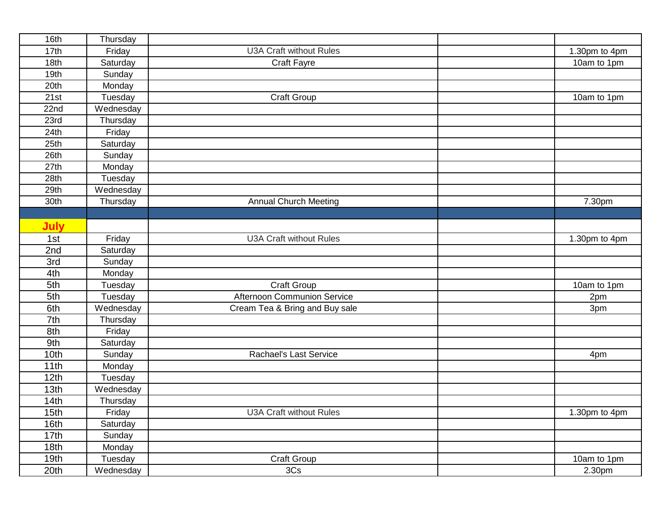| 16th        | Thursday  |                                |               |
|-------------|-----------|--------------------------------|---------------|
| 17th        | Friday    | <b>U3A Craft without Rules</b> | 1.30pm to 4pm |
| 18th        | Saturday  | Craft Fayre                    | 10am to 1pm   |
| 19th        | Sunday    |                                |               |
| 20th        | Monday    |                                |               |
| 21st        | Tuesday   | Craft Group                    | 10am to 1pm   |
| 22nd        | Wednesday |                                |               |
| 23rd        | Thursday  |                                |               |
| 24th        | Friday    |                                |               |
| 25th        | Saturday  |                                |               |
| 26th        | Sunday    |                                |               |
| 27th        | Monday    |                                |               |
| 28th        | Tuesday   |                                |               |
| 29th        | Wednesday |                                |               |
| 30th        | Thursday  | <b>Annual Church Meeting</b>   | 7.30pm        |
|             |           |                                |               |
| <b>July</b> |           |                                |               |
| 1st         | Friday    | <b>U3A Craft without Rules</b> | 1.30pm to 4pm |
| 2nd         | Saturday  |                                |               |
| 3rd         | Sunday    |                                |               |
| 4th         | Monday    |                                |               |
| 5th         | Tuesday   | Craft Group                    | 10am to 1pm   |
| 5th         | Tuesday   | Afternoon Communion Service    | 2pm           |
| 6th         | Wednesday | Cream Tea & Bring and Buy sale | 3pm           |
| 7th         | Thursday  |                                |               |
| 8th         | Friday    |                                |               |
| 9th         | Saturday  |                                |               |
| 10th        | Sunday    | Rachael's Last Service         | 4pm           |
| 11th        | Monday    |                                |               |
| 12th        | Tuesday   |                                |               |
| 13th        | Wednesday |                                |               |
| 14th        | Thursday  |                                |               |
| 15th        | Friday    | U3A Craft without Rules        | 1.30pm to 4pm |
| 16th        | Saturday  |                                |               |
| 17th        | Sunday    |                                |               |
| 18th        | Monday    |                                |               |
| 19th        | Tuesday   | Craft Group                    | 10am to 1pm   |
| 20th        | Wednesday | 3Cs                            | 2.30pm        |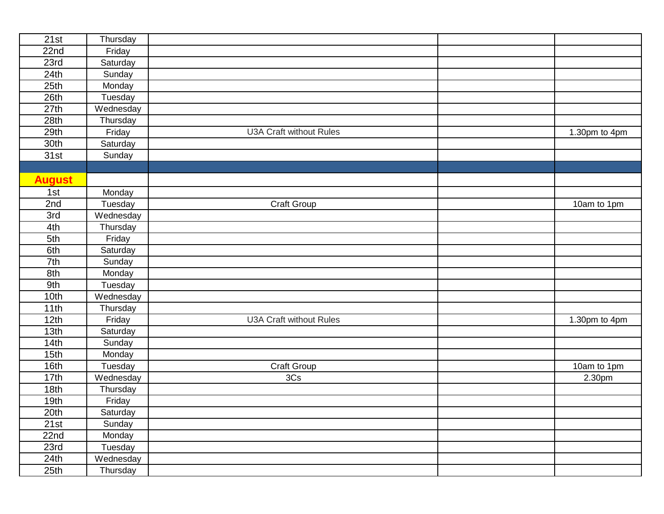| 21st          | Thursday  |                                |               |
|---------------|-----------|--------------------------------|---------------|
| 22nd          | Friday    |                                |               |
| 23rd          | Saturday  |                                |               |
| 24th          | Sunday    |                                |               |
| 25th          | Monday    |                                |               |
| 26th          | Tuesday   |                                |               |
| 27th          | Wednesday |                                |               |
| 28th          | Thursday  |                                |               |
| 29th          | Friday    | <b>U3A Craft without Rules</b> | 1.30pm to 4pm |
| 30th          | Saturday  |                                |               |
| 31st          | Sunday    |                                |               |
|               |           |                                |               |
| <b>August</b> |           |                                |               |
| 1st           | Monday    |                                |               |
| 2nd           | Tuesday   | Craft Group                    | 10am to 1pm   |
| 3rd           | Wednesday |                                |               |
| 4th           | Thursday  |                                |               |
| 5th           | Friday    |                                |               |
| 6th           | Saturday  |                                |               |
| 7th           | Sunday    |                                |               |
| 8th           | Monday    |                                |               |
| 9th           | Tuesday   |                                |               |
| 10th          | Wednesday |                                |               |
| 11th          | Thursday  |                                |               |
| 12th          | Friday    | <b>U3A Craft without Rules</b> | 1.30pm to 4pm |
| 13th          | Saturday  |                                |               |
| 14th          | Sunday    |                                |               |
| 15th          | Monday    |                                |               |
| 16th          | Tuesday   | Craft Group                    | 10am to 1pm   |
| 17th          | Wednesday | 3Cs                            | 2.30pm        |
| 18th          | Thursday  |                                |               |
| 19th          | Friday    |                                |               |
| 20th          | Saturday  |                                |               |
| 21st          | Sunday    |                                |               |
| 22nd          | Monday    |                                |               |
| 23rd          | Tuesday   |                                |               |
| 24th          | Wednesday |                                |               |
| 25th          | Thursday  |                                |               |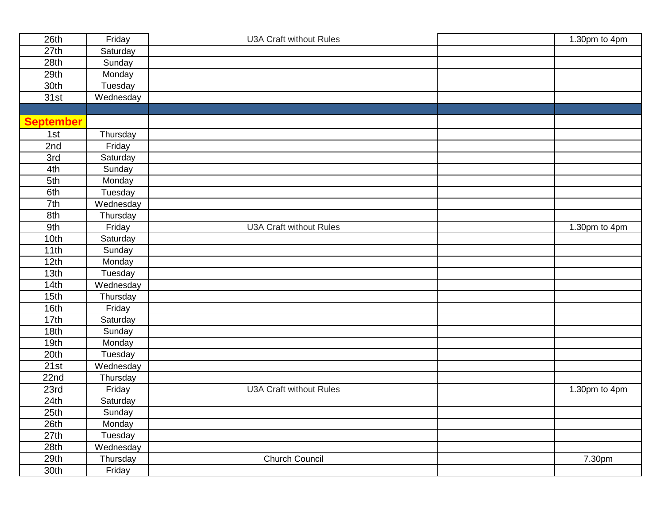| 26th             | Friday    | <b>U3A Craft without Rules</b> | 1.30pm to 4pm |
|------------------|-----------|--------------------------------|---------------|
| 27th             | Saturday  |                                |               |
| 28th             | Sunday    |                                |               |
| 29th             | Monday    |                                |               |
| 30th             | Tuesday   |                                |               |
| 31st             | Wednesday |                                |               |
|                  |           |                                |               |
| <b>September</b> |           |                                |               |
| 1st              | Thursday  |                                |               |
| 2nd              | Friday    |                                |               |
| 3rd              | Saturday  |                                |               |
| 4th              | Sunday    |                                |               |
| 5th              | Monday    |                                |               |
| 6th              | Tuesday   |                                |               |
| 7th              | Wednesday |                                |               |
| 8th              | Thursday  |                                |               |
| 9th              | Friday    | <b>U3A Craft without Rules</b> | 1.30pm to 4pm |
| 10th             | Saturday  |                                |               |
| 11th             | Sunday    |                                |               |
| 12th             | Monday    |                                |               |
| 13th             | Tuesday   |                                |               |
| 14th             | Wednesday |                                |               |
| 15th             | Thursday  |                                |               |
| 16th             | Friday    |                                |               |
| 17th             | Saturday  |                                |               |
| 18th             | Sunday    |                                |               |
| 19th             | Monday    |                                |               |
| 20th             | Tuesday   |                                |               |
| 21st             | Wednesday |                                |               |
| 22nd             | Thursday  |                                |               |
| 23rd             | Friday    | <b>U3A Craft without Rules</b> | 1.30pm to 4pm |
| 24th             | Saturday  |                                |               |
| 25th             | Sunday    |                                |               |
| 26th             | Monday    |                                |               |
| 27th             | Tuesday   |                                |               |
| 28th             | Wednesday |                                |               |
| 29th             | Thursday  | Church Council                 | 7.30pm        |
| 30th             | Friday    |                                |               |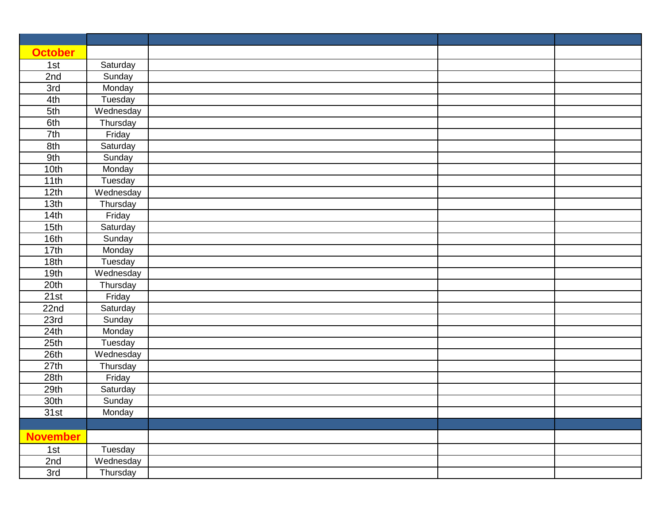| <b>October</b>  |           |  |  |
|-----------------|-----------|--|--|
| 1st             | Saturday  |  |  |
| 2nd             | Sunday    |  |  |
| 3rd             | Monday    |  |  |
| 4th             | Tuesday   |  |  |
| 5th             | Wednesday |  |  |
| 6th             | Thursday  |  |  |
| 7th             | Friday    |  |  |
| 8th             | Saturday  |  |  |
| 9th             | Sunday    |  |  |
| 10th            | Monday    |  |  |
| 11th            | Tuesday   |  |  |
| 12th            | Wednesday |  |  |
| 13th            | Thursday  |  |  |
| 14th            | Friday    |  |  |
| 15th            | Saturday  |  |  |
| 16th            | Sunday    |  |  |
| 17th            | Monday    |  |  |
| 18th            | Tuesday   |  |  |
| 19th            | Wednesday |  |  |
| 20th            | Thursday  |  |  |
| 21st            | Friday    |  |  |
| 22nd            | Saturday  |  |  |
| 23rd            | Sunday    |  |  |
| 24th            | Monday    |  |  |
| 25th            | Tuesday   |  |  |
| 26th            | Wednesday |  |  |
| 27th            | Thursday  |  |  |
| 28th            | Friday    |  |  |
| 29th            | Saturday  |  |  |
| 30th            | Sunday    |  |  |
| 31st            | Monday    |  |  |
|                 |           |  |  |
| <b>November</b> |           |  |  |
| 1st             | Tuesday   |  |  |
| 2nd             | Wednesday |  |  |
| 3rd             | Thursday  |  |  |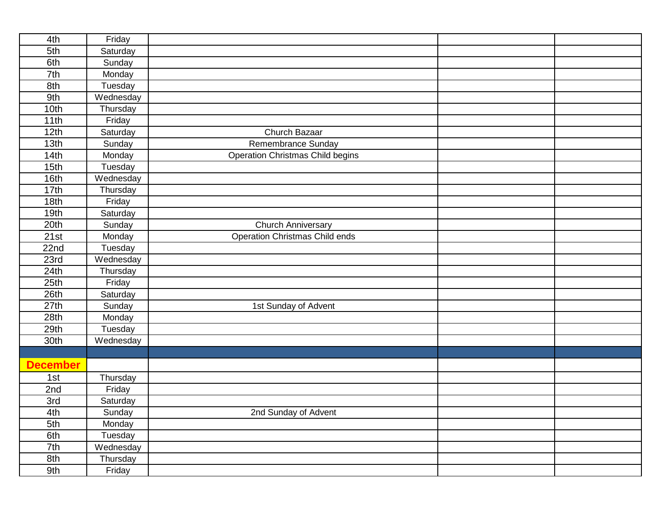| 4th             | Friday    |                                         |  |
|-----------------|-----------|-----------------------------------------|--|
| 5th             | Saturday  |                                         |  |
| 6th             | Sunday    |                                         |  |
| 7th             | Monday    |                                         |  |
| 8th             | Tuesday   |                                         |  |
| 9th             | Wednesday |                                         |  |
| 10th            | Thursday  |                                         |  |
| 11th            | Friday    |                                         |  |
| 12th            | Saturday  | Church Bazaar                           |  |
| 13th            | Sunday    | Remembrance Sunday                      |  |
| 14th            | Monday    | <b>Operation Christmas Child begins</b> |  |
| 15th            | Tuesday   |                                         |  |
| 16th            | Wednesday |                                         |  |
| 17th            | Thursday  |                                         |  |
| 18th            | Friday    |                                         |  |
| 19th            | Saturday  |                                         |  |
| 20th            | Sunday    | <b>Church Anniversary</b>               |  |
| 21st            | Monday    | Operation Christmas Child ends          |  |
| 22nd            | Tuesday   |                                         |  |
| 23rd            | Wednesday |                                         |  |
| 24th            | Thursday  |                                         |  |
| 25th            | Friday    |                                         |  |
| 26th            | Saturday  |                                         |  |
| 27th            | Sunday    | 1st Sunday of Advent                    |  |
| 28th            | Monday    |                                         |  |
| 29th            | Tuesday   |                                         |  |
| 30th            | Wednesday |                                         |  |
|                 |           |                                         |  |
| <b>December</b> |           |                                         |  |
| 1st             | Thursday  |                                         |  |
| 2nd             | Friday    |                                         |  |
| 3rd             | Saturday  |                                         |  |
| 4th             | Sunday    | 2nd Sunday of Advent                    |  |
| 5th             | Monday    |                                         |  |
| 6th             | Tuesday   |                                         |  |
| 7th             | Wednesday |                                         |  |
| 8th             | Thursday  |                                         |  |
| 9th             | Friday    |                                         |  |